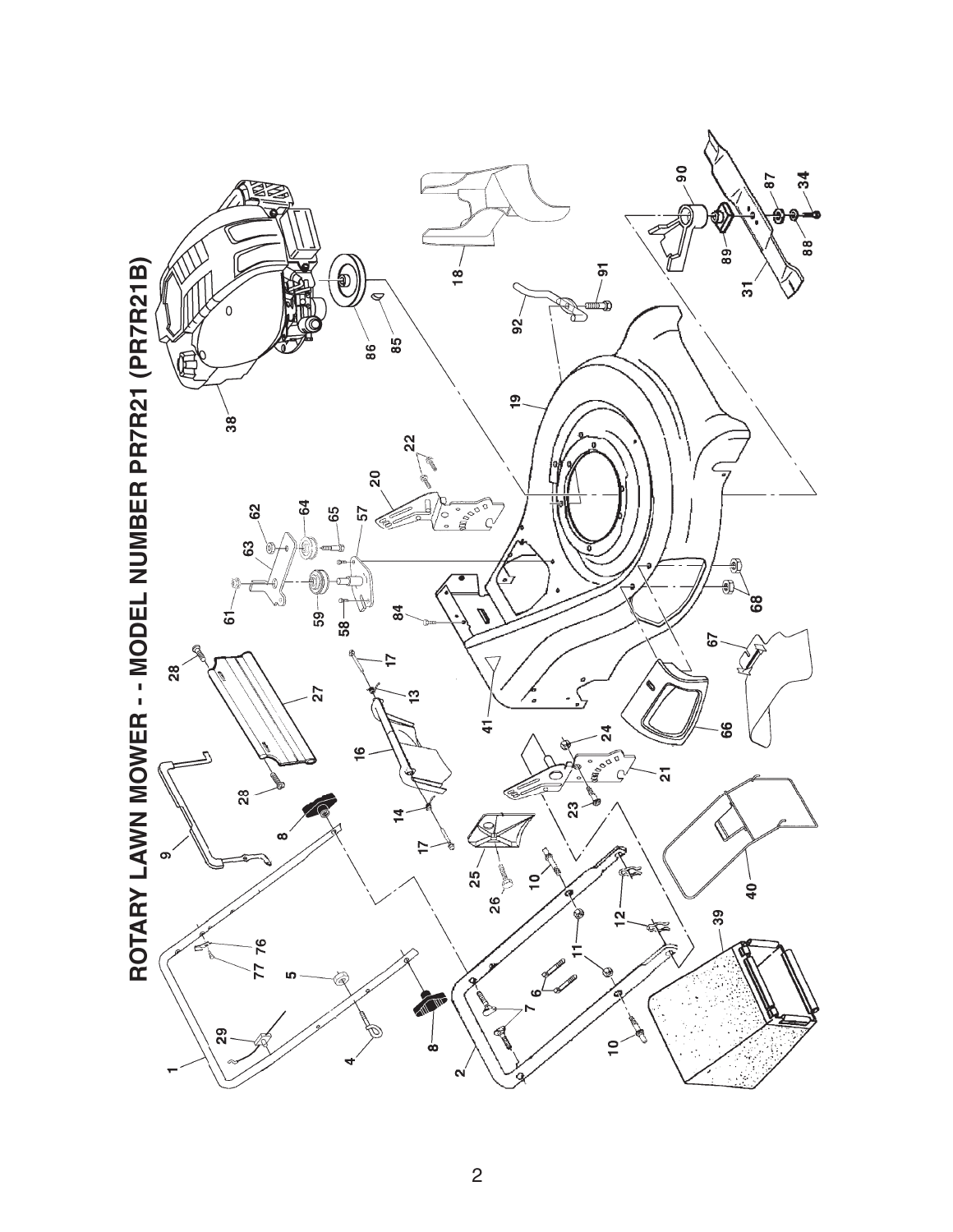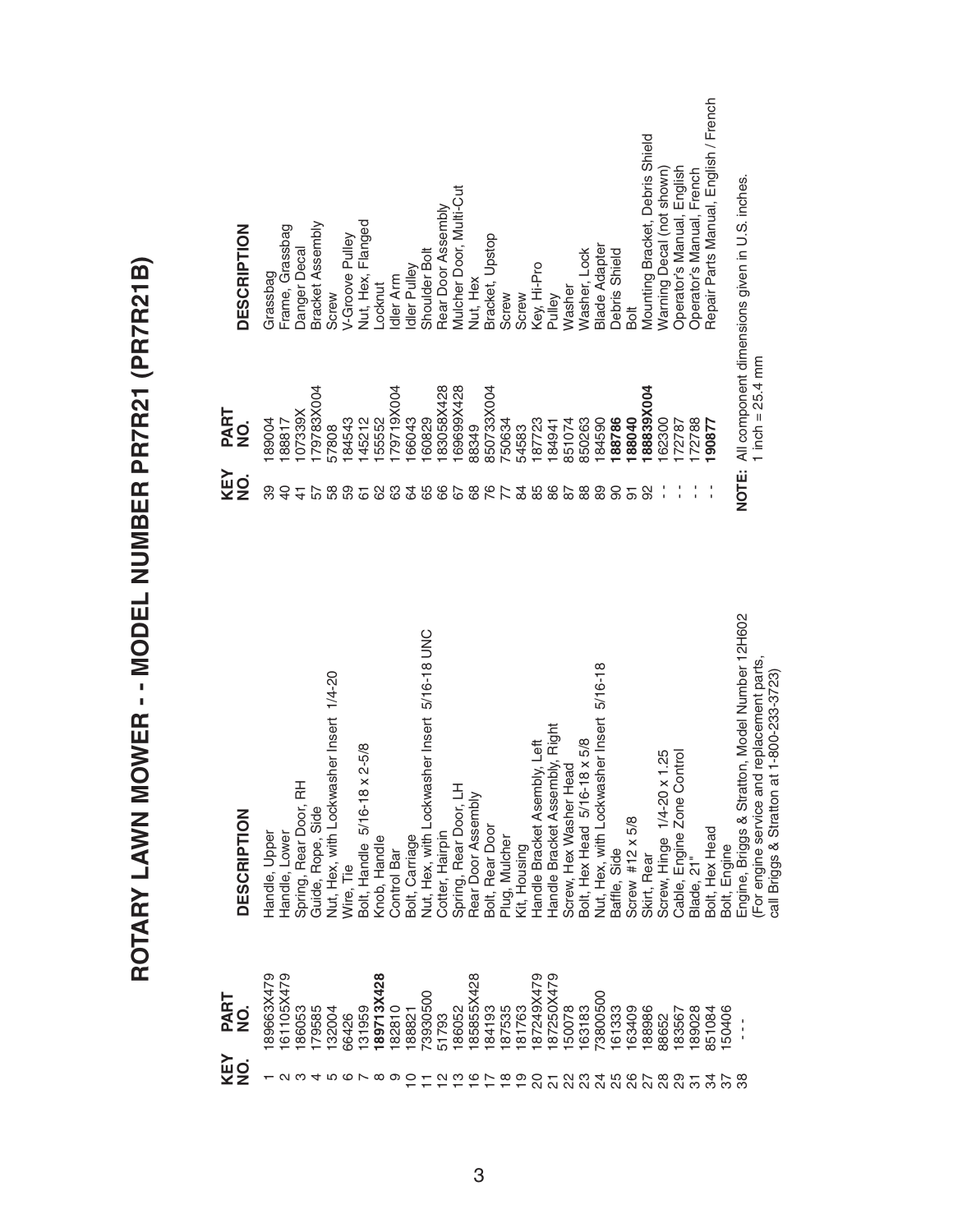ROTARY LAWN MOWER -- MODEL NUMBER PR7R21 (PR7R21B) **ROTARY LAWN MOWER - - MODEL NUMBER PR7R21 (PR7R21B)**

| <b>DESCRIPTION</b>                  | Grassbag      | Frame, Grassbag                | Danger Decal            | Bracket Assembly  | Screw                                   | V-Groove Pulley         | Nut, Hex, Flanged                   | -ocknut      | dler Arm        | dler Pulley    | Shoulder Bolt                                | Rear Door Assembly | Mulcher Door, Multi-Cut   | Nut, Hex                        | Bracket, Upstop  | Screw         | Screw        | Key, Hi-Pro                  | Pulley                           | Washer                 | Washer, Lock                 | <b>Blade Adapter</b>                     | Debris Shield | Bolt                   | Mounting Bracket, Debris Shield | Warning Decal (not shown)  | Operator's Manual, English    | Operator's Manual, French | Repair Parts Manual, English / French |              | NOTE: All component dimensions given in U.S. inches. |                                                                                           |
|-------------------------------------|---------------|--------------------------------|-------------------------|-------------------|-----------------------------------------|-------------------------|-------------------------------------|--------------|-----------------|----------------|----------------------------------------------|--------------------|---------------------------|---------------------------------|------------------|---------------|--------------|------------------------------|----------------------------------|------------------------|------------------------------|------------------------------------------|---------------|------------------------|---------------------------------|----------------------------|-------------------------------|---------------------------|---------------------------------------|--------------|------------------------------------------------------|-------------------------------------------------------------------------------------------|
| PART<br>$\frac{1}{2}$<br>KEY<br>NO. | 89004<br>တ္တ  | 88817<br>$\overline{a}$        | 07339X<br>$\frac{4}{3}$ | 79783X004<br>57   | 57808<br>38                             | 84543<br>59             | 45212<br>67                         | 55552<br>8   | 79719X004<br>යි | 66043<br>34    | 60829<br>65                                  | 83058X428<br>66    | 69699X428<br>67           | 88349<br>89                     | B50733X004<br>76 | 750634<br>77  | 54583<br>84  | 87723<br>85                  | 84941<br>86                      | 851074<br>87           | 850263<br>88                 | 84590<br>89                              | 88786<br>ဓ    | 88040<br>5             | 88839X004<br>92                 | 62300                      | 72787                         | 72788                     | 90877                                 |              |                                                      | 1 inch = $25.4$ mm                                                                        |
| <b>DESCRIPTION</b>                  | Handle, Upper | Handle, Lower                  | Spring, Rear Door, RH   | Guide, Rope, Side | Nut, Hex, with Lockwasher Insert 1/4-20 | Wire, Tie               | $x 2 - 5/8$<br>Bolt, Handle 5/16-18 | Knob, Handle | Control Bar     | Bolt, Carriage | Nut, Hex, with Lockwasher Insert 5/16-18 UNC | Cotter, Hairpin    | 工<br>Spring, Rear Door, L | Rear Door Assembly              | Bolt, Rear Door  | Plug, Mulcher | Kit, Housing | Handle Bracket Asembly, Left | Handle Bracket Assembly, Right   | Screw, Hex Washer Head | Bolt, Hex Head 5/16-18 x 5/8 | Nut, Hex, with Lockwasher Insert 5/16-18 | Baffle, Side  | Screw #12 $\times$ 5/8 | Skirt, Rear                     | Screw, Hinge 1/4-20 x 1.25 | Control<br>Cable, Engine Zone | Blade, 21"                | Bolt, Hex Head                        | Bolt, Engine | Engine, Briggs & Stratton, Model Number 12H602       | For engine service and replacement parts,<br>at 1-800-233-3723)<br>call Briggs & Strattor |
| PART<br>NO.<br><b>KEY</b><br>NO.    | 89663X479     | 61105X479<br>$\mathbf{\Omega}$ | 86053                   | 179585<br>4       | 132004<br>ഥ                             | 66426<br>$\circ$ $\sim$ | 31959                               | 89713X428    | 182810          | 88821          | 73930500                                     | 51793              | 86052                     | 85855X428<br>$\overline{\circ}$ | 84193            | 187535<br>≌   | 81763<br>တ   | 87249X479<br>႙               | 87250X479<br>$\overline{\Omega}$ | 50078<br>ଅ             | 63183<br>೪                   | '3800500<br>ನೆ ನಿ ನಿ                     | 61333         | 63409                  | 188986<br>27                    | 88652<br>88                | 83567<br>89                   | 89028<br>75               | 351084<br>ನೆ                          | 50406<br>57  | $\frac{1}{1}$<br>ï                                   |                                                                                           |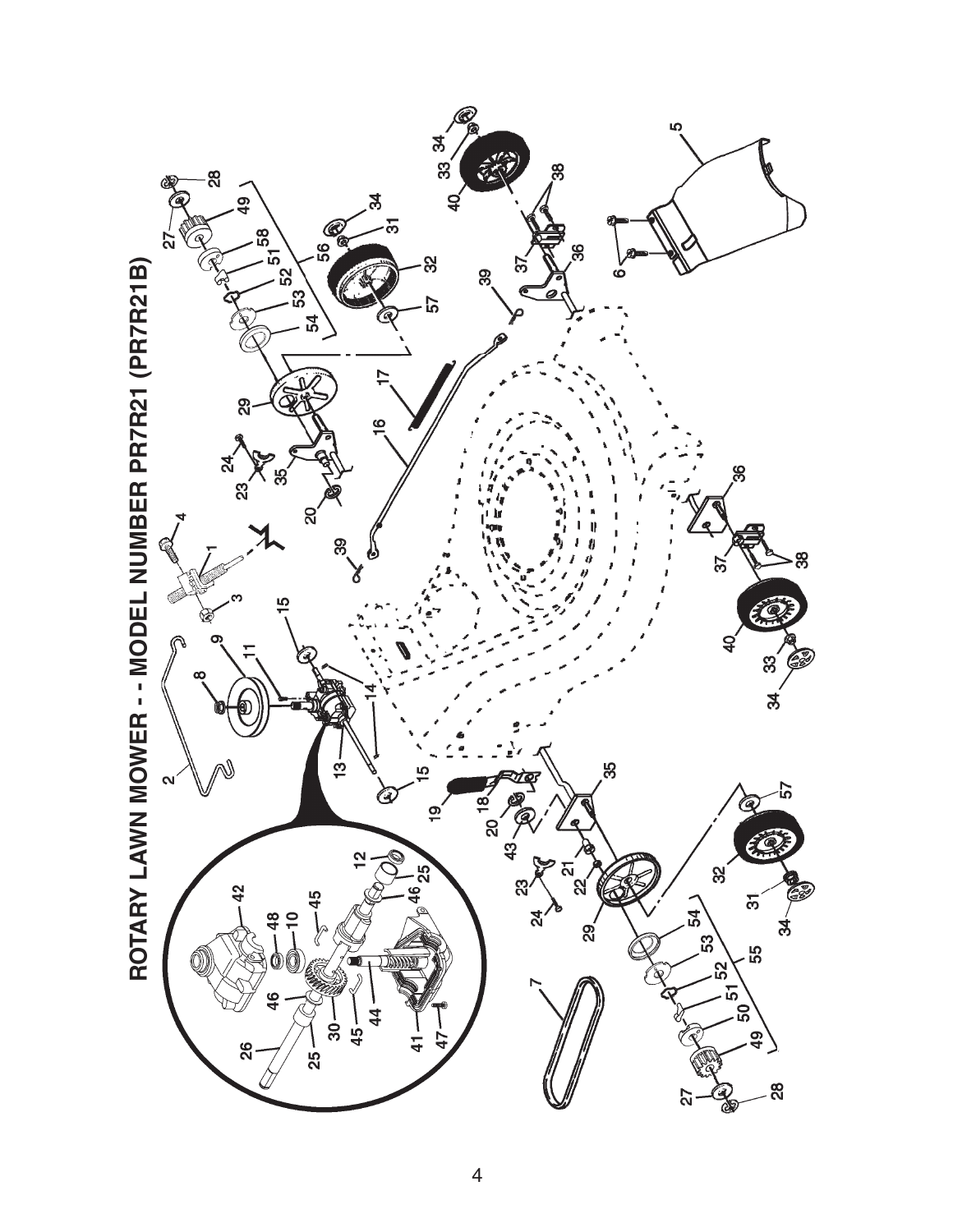